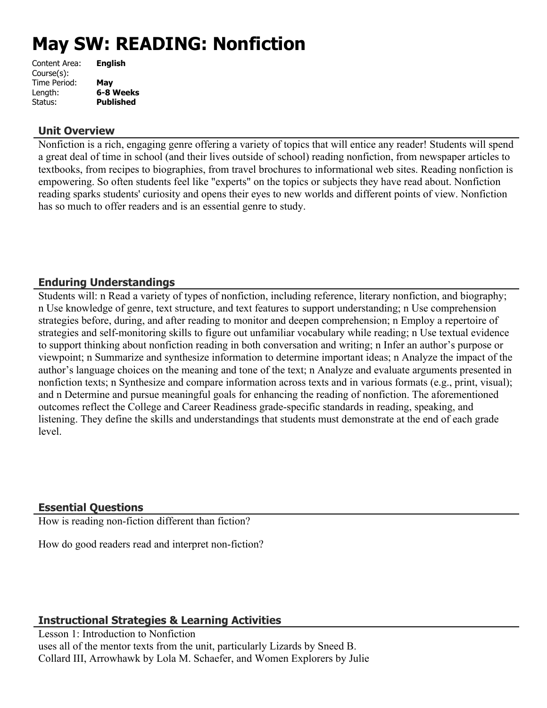# **May SW: READING: Nonfiction**

| Content Area: | <b>English</b>   |
|---------------|------------------|
| Course(s):    |                  |
| Time Period:  | May              |
| Length:       | 6-8 Weeks        |
| Status:       | <b>Published</b> |
|               |                  |

## **Unit Overview**

Nonfiction is a rich, engaging genre offering a variety of topics that will entice any reader! Students will spend a great deal of time in school (and their lives outside of school) reading nonfiction, from newspaper articles to textbooks, from recipes to biographies, from travel brochures to informational web sites. Reading nonfiction is empowering. So often students feel like "experts" on the topics or subjects they have read about. Nonfiction reading sparks students' curiosity and opens their eyes to new worlds and different points of view. Nonfiction has so much to offer readers and is an essential genre to study.

# **Enduring Understandings**

Students will: n Read a variety of types of nonfiction, including reference, literary nonfiction, and biography; n Use knowledge of genre, text structure, and text features to support understanding; n Use comprehension strategies before, during, and after reading to monitor and deepen comprehension; n Employ a repertoire of strategies and self-monitoring skills to figure out unfamiliar vocabulary while reading; n Use textual evidence to support thinking about nonfiction reading in both conversation and writing; n Infer an author's purpose or viewpoint; n Summarize and synthesize information to determine important ideas; n Analyze the impact of the author's language choices on the meaning and tone of the text; n Analyze and evaluate arguments presented in nonfiction texts; n Synthesize and compare information across texts and in various formats (e.g., print, visual); and n Determine and pursue meaningful goals for enhancing the reading of nonfiction. The aforementioned outcomes reflect the College and Career Readiness grade-specific standards in reading, speaking, and listening. They define the skills and understandings that students must demonstrate at the end of each grade level.

## **Essential Questions**

How is reading non-fiction different than fiction?

How do good readers read and interpret non-fiction?

# **Instructional Strategies & Learning Activities**

Lesson 1: Introduction to Nonfiction uses all of the mentor texts from the unit, particularly Lizards by Sneed B. Collard III, Arrowhawk by Lola M. Schaefer, and Women Explorers by Julie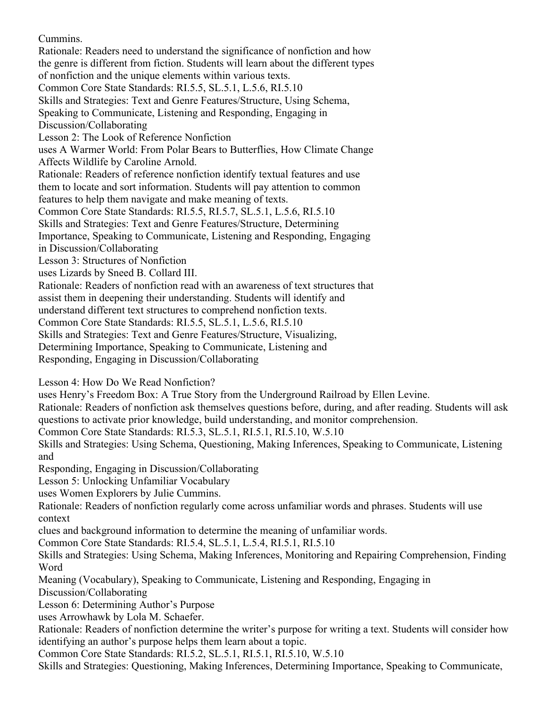Cummins.

Rationale: Readers need to understand the significance of nonfiction and how the genre is different from fiction. Students will learn about the different types of nonfiction and the unique elements within various texts.

Common Core State Standards: RI.5.5, SL.5.1, L.5.6, RI.5.10

Skills and Strategies: Text and Genre Features/Structure, Using Schema,

Speaking to Communicate, Listening and Responding, Engaging in

Discussion/Collaborating

Lesson 2: The Look of Reference Nonfiction

uses A Warmer World: From Polar Bears to Butterflies, How Climate Change Affects Wildlife by Caroline Arnold.

Rationale: Readers of reference nonfiction identify textual features and use them to locate and sort information. Students will pay attention to common features to help them navigate and make meaning of texts.

Common Core State Standards: RI.5.5, RI.5.7, SL.5.1, L.5.6, RI.5.10

Skills and Strategies: Text and Genre Features/Structure, Determining

Importance, Speaking to Communicate, Listening and Responding, Engaging

in Discussion/Collaborating

Lesson 3: Structures of Nonfiction

uses Lizards by Sneed B. Collard III.

Rationale: Readers of nonfiction read with an awareness of text structures that

assist them in deepening their understanding. Students will identify and

understand different text structures to comprehend nonfiction texts.

Common Core State Standards: RI.5.5, SL.5.1, L.5.6, RI.5.10

Skills and Strategies: Text and Genre Features/Structure, Visualizing,

Determining Importance, Speaking to Communicate, Listening and

Responding, Engaging in Discussion/Collaborating

Lesson 4: How Do We Read Nonfiction?

uses Henry's Freedom Box: A True Story from the Underground Railroad by Ellen Levine.

Rationale: Readers of nonfiction ask themselves questions before, during, and after reading. Students will ask questions to activate prior knowledge, build understanding, and monitor comprehension.

Common Core State Standards: RI.5.3, SL.5.1, RI.5.1, RI.5.10, W.5.10

Skills and Strategies: Using Schema, Questioning, Making Inferences, Speaking to Communicate, Listening and

Responding, Engaging in Discussion/Collaborating

Lesson 5: Unlocking Unfamiliar Vocabulary

uses Women Explorers by Julie Cummins.

Rationale: Readers of nonfiction regularly come across unfamiliar words and phrases. Students will use context

clues and background information to determine the meaning of unfamiliar words.

Common Core State Standards: RI.5.4, SL.5.1, L.5.4, RI.5.1, RI.5.10

Skills and Strategies: Using Schema, Making Inferences, Monitoring and Repairing Comprehension, Finding Word

Meaning (Vocabulary), Speaking to Communicate, Listening and Responding, Engaging in

Discussion/Collaborating

Lesson 6: Determining Author's Purpose

uses Arrowhawk by Lola M. Schaefer.

Rationale: Readers of nonfiction determine the writer's purpose for writing a text. Students will consider how identifying an author's purpose helps them learn about a topic.

Common Core State Standards: RI.5.2, SL.5.1, RI.5.1, RI.5.10, W.5.10

Skills and Strategies: Questioning, Making Inferences, Determining Importance, Speaking to Communicate,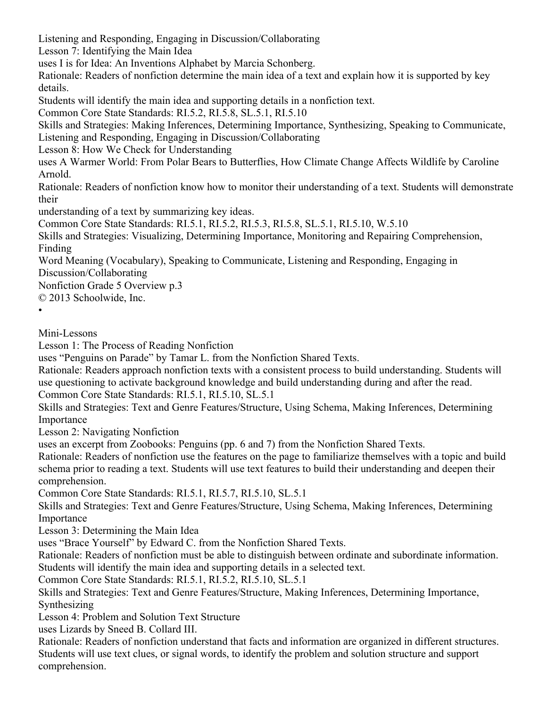Listening and Responding, Engaging in Discussion/Collaborating

Lesson 7: Identifying the Main Idea

uses I is for Idea: An Inventions Alphabet by Marcia Schonberg.

Rationale: Readers of nonfiction determine the main idea of a text and explain how it is supported by key details.

Students will identify the main idea and supporting details in a nonfiction text.

Common Core State Standards: RI.5.2, RI.5.8, SL.5.1, RI.5.10

Skills and Strategies: Making Inferences, Determining Importance, Synthesizing, Speaking to Communicate, Listening and Responding, Engaging in Discussion/Collaborating

Lesson 8: How We Check for Understanding

uses A Warmer World: From Polar Bears to Butterflies, How Climate Change Affects Wildlife by Caroline Arnold.

Rationale: Readers of nonfiction know how to monitor their understanding of a text. Students will demonstrate their

understanding of a text by summarizing key ideas.

Common Core State Standards: RI.5.1, RI.5.2, RI.5.3, RI.5.8, SL.5.1, RI.5.10, W.5.10

Skills and Strategies: Visualizing, Determining Importance, Monitoring and Repairing Comprehension, Finding

Word Meaning (Vocabulary), Speaking to Communicate, Listening and Responding, Engaging in Discussion/Collaborating

Nonfiction Grade 5 Overview p.3

© 2013 Schoolwide, Inc.

•

Mini-Lessons

Lesson 1: The Process of Reading Nonfiction

uses "Penguins on Parade" by Tamar L. from the Nonfiction Shared Texts.

Rationale: Readers approach nonfiction texts with a consistent process to build understanding. Students will use questioning to activate background knowledge and build understanding during and after the read. Common Core State Standards: RI.5.1, RI.5.10, SL.5.1

Skills and Strategies: Text and Genre Features/Structure, Using Schema, Making Inferences, Determining Importance

Lesson 2: Navigating Nonfiction

uses an excerpt from Zoobooks: Penguins (pp. 6 and 7) from the Nonfiction Shared Texts.

Rationale: Readers of nonfiction use the features on the page to familiarize themselves with a topic and build schema prior to reading a text. Students will use text features to build their understanding and deepen their comprehension.

Common Core State Standards: RI.5.1, RI.5.7, RI.5.10, SL.5.1

Skills and Strategies: Text and Genre Features/Structure, Using Schema, Making Inferences, Determining Importance

Lesson 3: Determining the Main Idea

uses "Brace Yourself" by Edward C. from the Nonfiction Shared Texts.

Rationale: Readers of nonfiction must be able to distinguish between ordinate and subordinate information. Students will identify the main idea and supporting details in a selected text.

Common Core State Standards: RI.5.1, RI.5.2, RI.5.10, SL.5.1

Skills and Strategies: Text and Genre Features/Structure, Making Inferences, Determining Importance, Synthesizing

Lesson 4: Problem and Solution Text Structure

uses Lizards by Sneed B. Collard III.

Rationale: Readers of nonfiction understand that facts and information are organized in different structures. Students will use text clues, or signal words, to identify the problem and solution structure and support comprehension.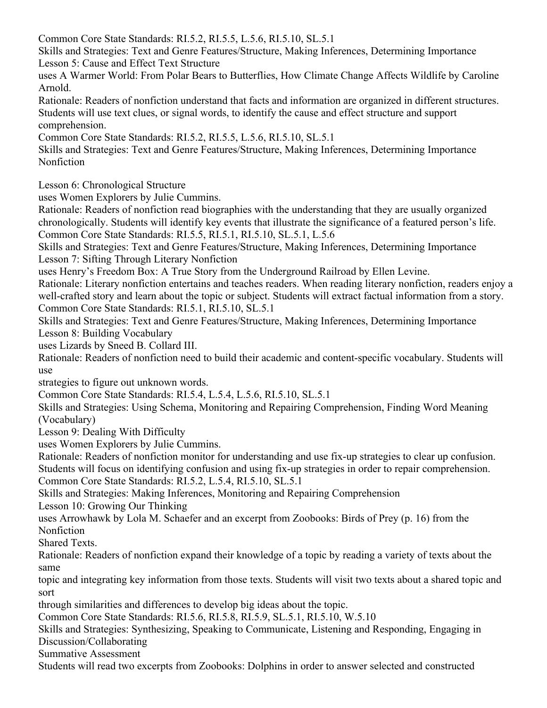Common Core State Standards: RI.5.2, RI.5.5, L.5.6, RI.5.10, SL.5.1

Skills and Strategies: Text and Genre Features/Structure, Making Inferences, Determining Importance Lesson 5: Cause and Effect Text Structure

uses A Warmer World: From Polar Bears to Butterflies, How Climate Change Affects Wildlife by Caroline Arnold.

Rationale: Readers of nonfiction understand that facts and information are organized in different structures. Students will use text clues, or signal words, to identify the cause and effect structure and support comprehension.

Common Core State Standards: RI.5.2, RI.5.5, L.5.6, RI.5.10, SL.5.1

Skills and Strategies: Text and Genre Features/Structure, Making Inferences, Determining Importance Nonfiction

Lesson 6: Chronological Structure

uses Women Explorers by Julie Cummins.

Rationale: Readers of nonfiction read biographies with the understanding that they are usually organized chronologically. Students will identify key events that illustrate the significance of a featured person's life. Common Core State Standards: RI.5.5, RI.5.1, RI.5.10, SL.5.1, L.5.6

Skills and Strategies: Text and Genre Features/Structure, Making Inferences, Determining Importance Lesson 7: Sifting Through Literary Nonfiction

uses Henry's Freedom Box: A True Story from the Underground Railroad by Ellen Levine.

Rationale: Literary nonfiction entertains and teaches readers. When reading literary nonfiction, readers enjoy a well-crafted story and learn about the topic or subject. Students will extract factual information from a story. Common Core State Standards: RI.5.1, RI.5.10, SL.5.1

Skills and Strategies: Text and Genre Features/Structure, Making Inferences, Determining Importance Lesson 8: Building Vocabulary

uses Lizards by Sneed B. Collard III.

Rationale: Readers of nonfiction need to build their academic and content-specific vocabulary. Students will use

strategies to figure out unknown words.

Common Core State Standards: RI.5.4, L.5.4, L.5.6, RI.5.10, SL.5.1

Skills and Strategies: Using Schema, Monitoring and Repairing Comprehension, Finding Word Meaning (Vocabulary)

Lesson 9: Dealing With Difficulty

uses Women Explorers by Julie Cummins.

Rationale: Readers of nonfiction monitor for understanding and use fix-up strategies to clear up confusion. Students will focus on identifying confusion and using fix-up strategies in order to repair comprehension.

Common Core State Standards: RI.5.2, L.5.4, RI.5.10, SL.5.1

Skills and Strategies: Making Inferences, Monitoring and Repairing Comprehension

Lesson 10: Growing Our Thinking

uses Arrowhawk by Lola M. Schaefer and an excerpt from Zoobooks: Birds of Prey (p. 16) from the Nonfiction

Shared Texts.

Rationale: Readers of nonfiction expand their knowledge of a topic by reading a variety of texts about the same

topic and integrating key information from those texts. Students will visit two texts about a shared topic and sort

through similarities and differences to develop big ideas about the topic.

Common Core State Standards: RI.5.6, RI.5.8, RI.5.9, SL.5.1, RI.5.10, W.5.10

Skills and Strategies: Synthesizing, Speaking to Communicate, Listening and Responding, Engaging in Discussion/Collaborating

Summative Assessment

Students will read two excerpts from Zoobooks: Dolphins in order to answer selected and constructed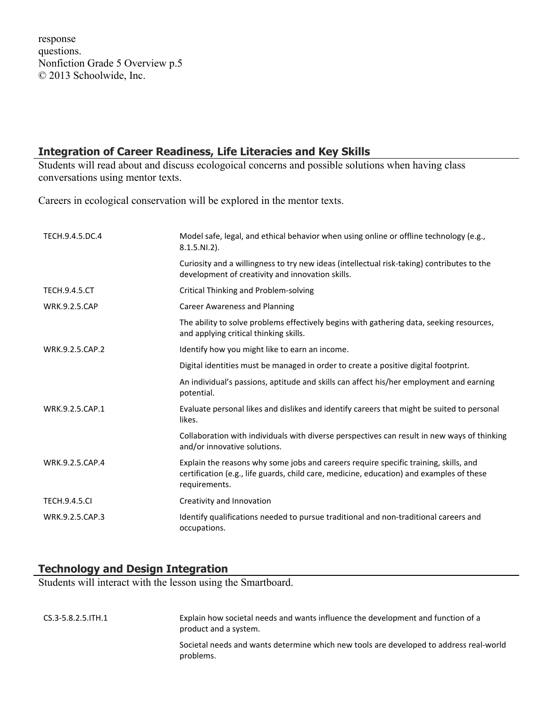response questions. Nonfiction Grade 5 Overview p.5 © 2013 Schoolwide, Inc.

## **Integration of Career Readiness, Life Literacies and Key Skills**

Students will read about and discuss ecologoical concerns and possible solutions when having class conversations using mentor texts.

Careers in ecological conservation will be explored in the mentor texts.

| TECH.9.4.5.DC.4      | Model safe, legal, and ethical behavior when using online or offline technology (e.g.,<br>$8.1.5.NI.2$ ).                                                                                         |
|----------------------|---------------------------------------------------------------------------------------------------------------------------------------------------------------------------------------------------|
|                      | Curiosity and a willingness to try new ideas (intellectual risk-taking) contributes to the<br>development of creativity and innovation skills.                                                    |
| <b>TECH.9.4.5.CT</b> | Critical Thinking and Problem-solving                                                                                                                                                             |
| <b>WRK.9.2.5.CAP</b> | <b>Career Awareness and Planning</b>                                                                                                                                                              |
|                      | The ability to solve problems effectively begins with gathering data, seeking resources,<br>and applying critical thinking skills.                                                                |
| WRK.9.2.5.CAP.2      | Identify how you might like to earn an income.                                                                                                                                                    |
|                      | Digital identities must be managed in order to create a positive digital footprint.                                                                                                               |
|                      | An individual's passions, aptitude and skills can affect his/her employment and earning<br>potential.                                                                                             |
| WRK.9.2.5.CAP.1      | Evaluate personal likes and dislikes and identify careers that might be suited to personal<br>likes.                                                                                              |
|                      | Collaboration with individuals with diverse perspectives can result in new ways of thinking<br>and/or innovative solutions.                                                                       |
| WRK.9.2.5.CAP.4      | Explain the reasons why some jobs and careers require specific training, skills, and<br>certification (e.g., life guards, child care, medicine, education) and examples of these<br>requirements. |
| <b>TECH.9.4.5.CI</b> | Creativity and Innovation                                                                                                                                                                         |
| WRK.9.2.5.CAP.3      | Identify qualifications needed to pursue traditional and non-traditional careers and<br>occupations.                                                                                              |

# **Technology and Design Integration**

Students will interact with the lesson using the Smartboard.

| $CS.3 - 5.8.2.5$ . ITH $.1$ | Explain how societal needs and wants influence the development and function of a<br>product and a system. |
|-----------------------------|-----------------------------------------------------------------------------------------------------------|
|                             | Societal needs and wants determine which new tools are developed to address real-world<br>problems.       |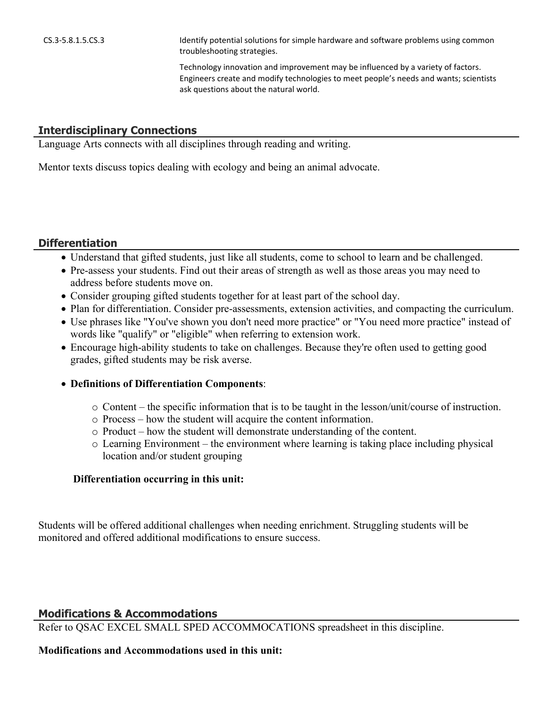CS.3-5.8.1.5.CS.3 Identify potential solutions for simple hardware and software problems using common troubleshooting strategies.

> Technology innovation and improvement may be influenced by a variety of factors. Engineers create and modify technologies to meet people's needs and wants; scientists ask questions about the natural world.

#### **Interdisciplinary Connections**

Language Arts connects with all disciplines through reading and writing.

Mentor texts discuss topics dealing with ecology and being an animal advocate.

#### **Differentiation**

- Understand that gifted students, just like all students, come to school to learn and be challenged.
- Pre-assess your students. Find out their areas of strength as well as those areas you may need to address before students move on.
- Consider grouping gifted students together for at least part of the school day.
- Plan for differentiation. Consider pre-assessments, extension activities, and compacting the curriculum.
- Use phrases like "You've shown you don't need more practice" or "You need more practice" instead of words like "qualify" or "eligible" when referring to extension work.
- Encourage high-ability students to take on challenges. Because they're often used to getting good grades, gifted students may be risk averse.
- **Definitions of Differentiation Components**:
	- o Content the specific information that is to be taught in the lesson/unit/course of instruction.
	- o Process how the student will acquire the content information.
	- o Product how the student will demonstrate understanding of the content.
	- o Learning Environment the environment where learning is taking place including physical location and/or student grouping

#### **Differentiation occurring in this unit:**

Students will be offered additional challenges when needing enrichment. Struggling students will be monitored and offered additional modifications to ensure success.

## **Modifications & Accommodations**

Refer to QSAC EXCEL SMALL SPED ACCOMMOCATIONS spreadsheet in this discipline.

#### **Modifications and Accommodations used in this unit:**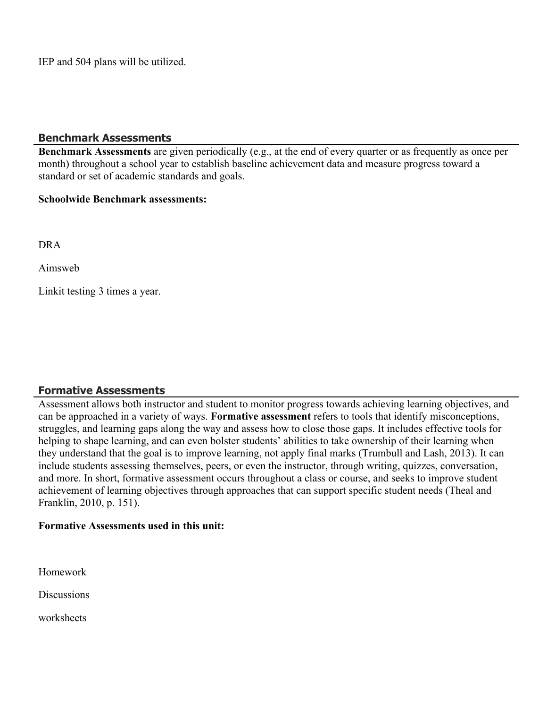IEP and 504 plans will be utilized.

#### **Benchmark Assessments**

**Benchmark Assessments** are given periodically (e.g., at the end of every quarter or as frequently as once per month) throughout a school year to establish baseline achievement data and measure progress toward a standard or set of academic standards and goals.

#### **Schoolwide Benchmark assessments:**

DRA

Aimsweb

Linkit testing 3 times a year.

## **Formative Assessments**

Assessment allows both instructor and student to monitor progress towards achieving learning objectives, and can be approached in a variety of ways. **Formative assessment** refers to tools that identify misconceptions, struggles, and learning gaps along the way and assess how to close those gaps. It includes effective tools for helping to shape learning, and can even bolster students' abilities to take ownership of their learning when they understand that the goal is to improve learning, not apply final marks (Trumbull and Lash, 2013). It can include students assessing themselves, peers, or even the instructor, through writing, quizzes, conversation, and more. In short, formative assessment occurs throughout a class or course, and seeks to improve student achievement of learning objectives through approaches that can support specific student needs (Theal and Franklin, 2010, p. 151).

#### **Formative Assessments used in this unit:**

Homework

**Discussions** 

worksheets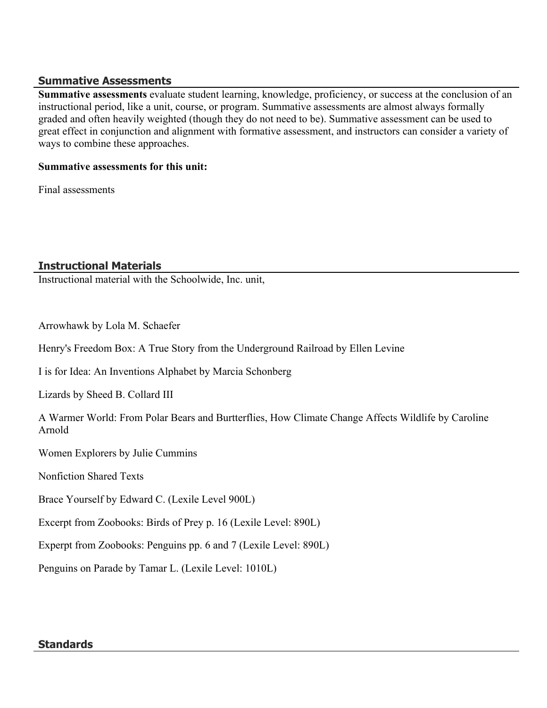## **Summative Assessments**

**Summative assessments** evaluate student learning, knowledge, proficiency, or success at the conclusion of an instructional period, like a unit, course, or program. Summative assessments are almost always formally graded and often heavily weighted (though they do not need to be). Summative assessment can be used to great effect in conjunction and alignment with formative assessment, and instructors can consider a variety of ways to combine these approaches.

## **Summative assessments for this unit:**

Final assessments

# **Instructional Materials**

Instructional material with the Schoolwide, Inc. unit,

Arrowhawk by Lola M. Schaefer

Henry's Freedom Box: A True Story from the Underground Railroad by Ellen Levine

I is for Idea: An Inventions Alphabet by Marcia Schonberg

Lizards by Sheed B. Collard III

A Warmer World: From Polar Bears and Burtterflies, How Climate Change Affects Wildlife by Caroline Arnold

Women Explorers by Julie Cummins

Nonfiction Shared Texts

Brace Yourself by Edward C. (Lexile Level 900L)

Excerpt from Zoobooks: Birds of Prey p. 16 (Lexile Level: 890L)

Experpt from Zoobooks: Penguins pp. 6 and 7 (Lexile Level: 890L)

Penguins on Parade by Tamar L. (Lexile Level: 1010L)

## **Standards**